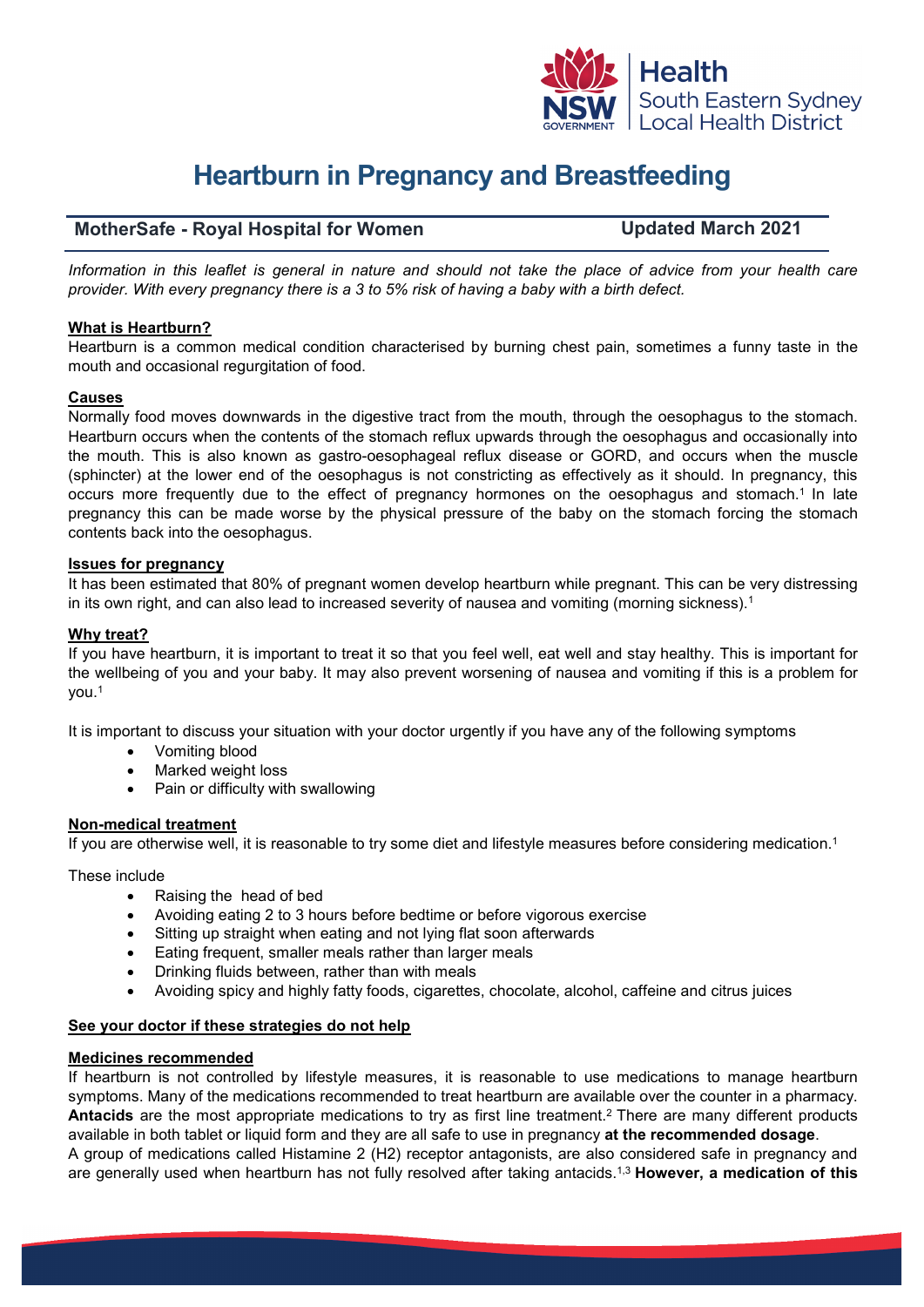

# **Heartburn in Pregnancy and Breastfeeding**

## **MotherSafe - Royal Hospital for Women Updated March 2021**

*Information in this leaflet is general in nature and should not take the place of advice from your health care provider. With every pregnancy there is a 3 to 5% risk of having a baby with a birth defect.*

### **What is Heartburn?**

Heartburn is a common medical condition characterised by burning chest pain, sometimes a funny taste in the mouth and occasional regurgitation of food.

### **Causes**

Normally food moves downwards in the digestive tract from the mouth, through the oesophagus to the stomach. Heartburn occurs when the contents of the stomach reflux upwards through the oesophagus and occasionally into the mouth. This is also known as gastro-oesophageal reflux disease or GORD, and occurs when the muscle (sphincter) at the lower end of the oesophagus is not constricting as effectively as it should. In pregnancy, this occurs more frequently due to the effect of pregnancy hormones on the oesophagus and stomach.1 In late pregnancy this can be made worse by the physical pressure of the baby on the stomach forcing the stomach contents back into the oesophagus.

### **Issues for pregnancy**

It has been estimated that 80% of pregnant women develop heartburn while pregnant. This can be very distressing in its own right, and can also lead to increased severity of nausea and vomiting (morning sickness).<sup>1</sup>

## **Why treat?**

If you have heartburn, it is important to treat it so that you feel well, eat well and stay healthy. This is important for the wellbeing of you and your baby. It may also prevent worsening of nausea and vomiting if this is a problem for you.1

It is important to discuss your situation with your doctor urgently if you have any of the following symptoms

- Vomiting blood
- Marked weight loss
- Pain or difficulty with swallowing

## **Non-medical treatment**

If you are otherwise well, it is reasonable to try some diet and lifestyle measures before considering medication.<sup>1</sup>

These include

- Raising the head of bed
- Avoiding eating 2 to 3 hours before bedtime or before vigorous exercise
- Sitting up straight when eating and not lying flat soon afterwards
- Eating frequent, smaller meals rather than larger meals
- Drinking fluids between, rather than with meals
- Avoiding spicy and highly fatty foods, cigarettes, chocolate, alcohol, caffeine and citrus juices

### **See your doctor if these strategies do not help**

### **Medicines recommended**

If heartburn is not controlled by lifestyle measures, it is reasonable to use medications to manage heartburn symptoms. Many of the medications recommended to treat heartburn are available over the counter in a pharmacy. **Antacids** are the most appropriate medications to try as first line treatment.2 There are many different products available in both tablet or liquid form and they are all safe to use in pregnancy **at the recommended dosage**. A group of medications called Histamine 2 (H2) receptor antagonists, are also considered safe in pregnancy and are generally used when heartburn has not fully resolved after taking antacids.1,3 **However, a medication of this**